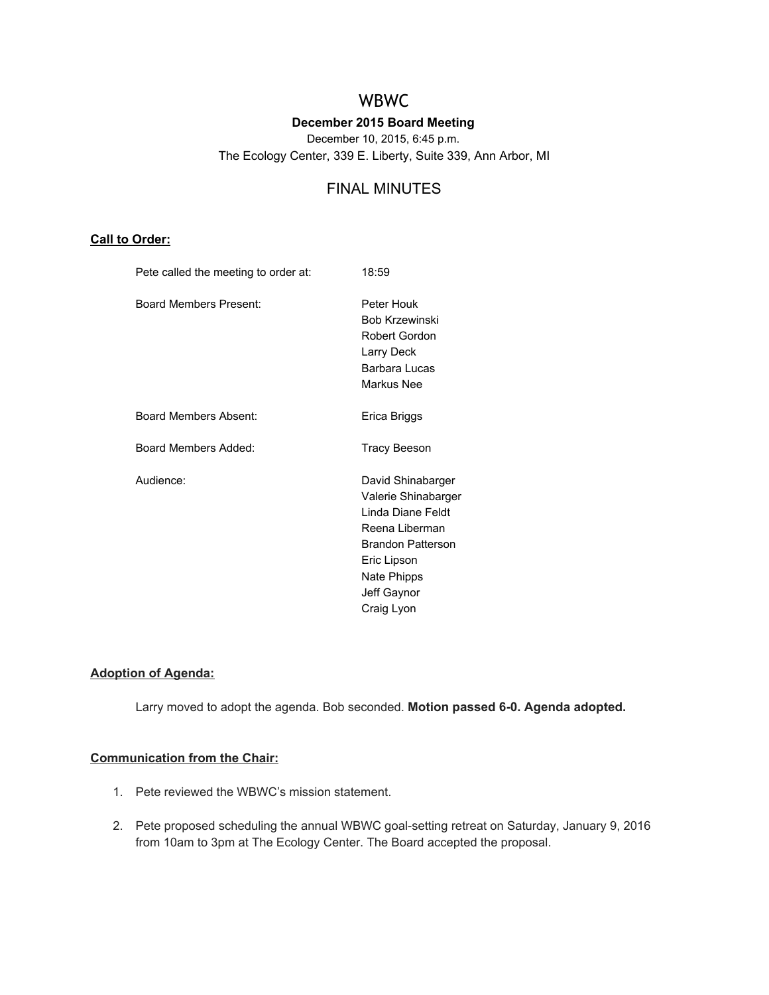# WBWC

## **December 2015 Board Meeting**

December 10, 2015, 6:45 p.m.

The Ecology Center, 339 E. Liberty, Suite 339, Ann Arbor, MI

## FINAL MINUTES

## **Call to Order:**

| Pete called the meeting to order at: | 18:59                                                                                                                                                                  |
|--------------------------------------|------------------------------------------------------------------------------------------------------------------------------------------------------------------------|
| Board Members Present:               | Peter Houk<br><b>Bob Krzewinski</b><br>Robert Gordon<br>Larry Deck<br>Barbara Lucas<br>Markus Nee                                                                      |
| Board Members Absent:                | Erica Briggs                                                                                                                                                           |
| Board Members Added:                 | Tracy Beeson                                                                                                                                                           |
| Audience:                            | David Shinabarger<br>Valerie Shinabarger<br>Linda Diane Feldt<br>Reena Liberman<br><b>Brandon Patterson</b><br>Eric Lipson<br>Nate Phipps<br>Jeff Gaynor<br>Craig Lyon |

## **Adoption of Agenda:**

Larry moved to adopt the agenda. Bob seconded. **Motion passed 60. Agenda adopted.**

#### **Communication from the Chair:**

- 1. Pete reviewed the WBWC's mission statement.
- 2. Pete proposed scheduling the annual WBWC goal-setting retreat on Saturday, January 9, 2016 from 10am to 3pm at The Ecology Center. The Board accepted the proposal.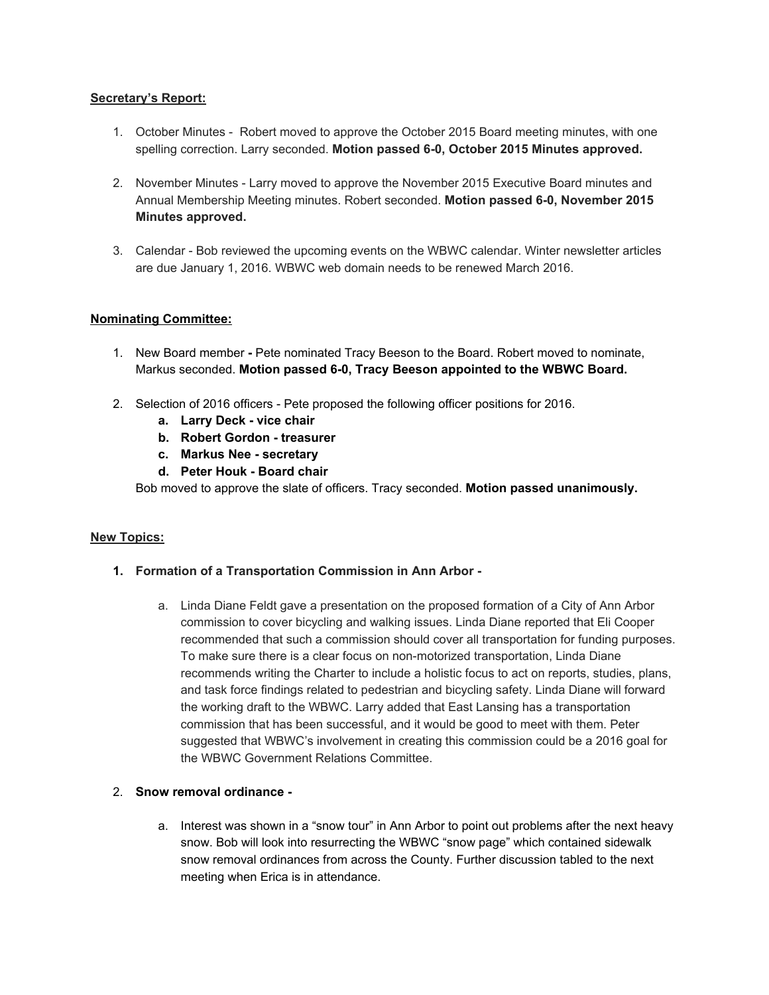## **Secretary's Report:**

- 1. October Minutes Robert moved to approve the October 2015 Board meeting minutes, with one spelling correction. Larry seconded. **Motion passed 60, October 2015 Minutes approved.**
- 2. November Minutes Larry moved to approve the November 2015 Executive Board minutes and Annual Membership Meeting minutes. Robert seconded. **Motion passed 60, November 2015 Minutes approved.**
- 3. Calendar Bob reviewed the upcoming events on the WBWC calendar. Winter newsletter articles are due January 1, 2016. WBWC web domain needs to be renewed March 2016.

## **Nominating Committee:**

- 1. New Board member Pete nominated Tracy Beeson to the Board. Robert moved to nominate, Markus seconded. **Motion passed 60, Tracy Beeson appointed to the WBWC Board.**
- 2. Selection of 2016 officers Pete proposed the following officer positions for 2016.
	- **a. Larry Deck vice chair**
	- **b. Robert Gordon treasurer**
	- **c. Markus Nee secretary**
	- **d. Peter Houk Board chair**

Bob moved to approve the slate of officers. Tracy seconded. **Motion passed unanimously.**

#### **New Topics:**

- **1. Formation of a Transportation Commission in Ann Arbor**
	- a. Linda Diane Feldt gave a presentation on the proposed formation of a City of Ann Arbor commission to cover bicycling and walking issues. Linda Diane reported that Eli Cooper recommended that such a commission should cover all transportation for funding purposes. To make sure there is a clear focus on non-motorized transportation, Linda Diane recommends writing the Charter to include a holistic focus to act on reports, studies, plans, and task force findings related to pedestrian and bicycling safety. Linda Diane will forward the working draft to the WBWC. Larry added that East Lansing has a transportation commission that has been successful, and it would be good to meet with them. Peter suggested that WBWC's involvement in creating this commission could be a 2016 goal for the WBWC Government Relations Committee.

#### 2. **Snow removal ordinance**

a. Interest was shown in a "snow tour" in Ann Arbor to point out problems after the next heavy snow. Bob will look into resurrecting the WBWC "snow page" which contained sidewalk snow removal ordinances from across the County. Further discussion tabled to the next meeting when Erica is in attendance.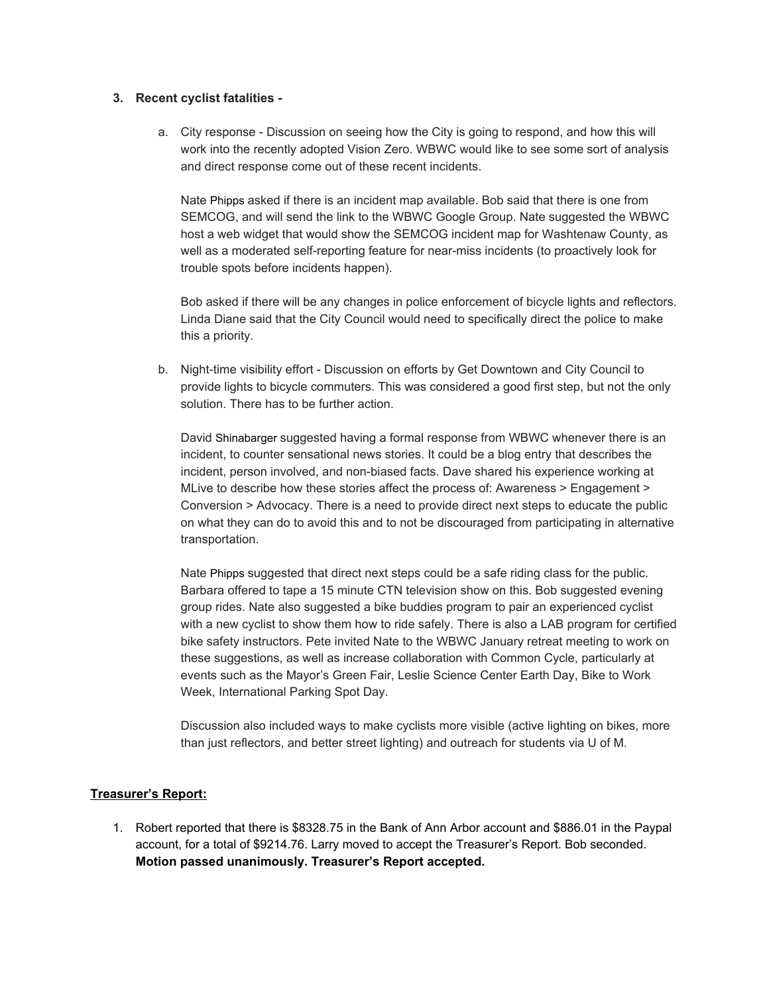#### **3. Recent cyclist fatalities**

a. City response - Discussion on seeing how the City is going to respond, and how this will work into the recently adopted Vision Zero. WBWC would like to see some sort of analysis and direct response come out of these recent incidents.

Nate Phipps asked if there is an incident map available. Bob said that there is one from SEMCOG, and will send the link to the WBWC Google Group. Nate suggested the WBWC host a web widget that would show the SEMCOG incident map for Washtenaw County, as well as a moderated self-reporting feature for near-miss incidents (to proactively look for trouble spots before incidents happen).

Bob asked if there will be any changes in police enforcement of bicycle lights and reflectors. Linda Diane said that the City Council would need to specifically direct the police to make this a priority.

b. Night-time visibility effort - Discussion on efforts by Get Downtown and City Council to provide lights to bicycle commuters. This was considered a good first step, but not the only solution. There has to be further action.

David Shinabarger suggested having a formal response from WBWC whenever there is an incident, to counter sensational news stories. It could be a blog entry that describes the incident, person involved, and non-biased facts. Dave shared his experience working at MLive to describe how these stories affect the process of: Awareness > Engagement > Conversion > Advocacy. There is a need to provide direct next steps to educate the public on what they can do to avoid this and to not be discouraged from participating in alternative transportation.

Nate Phipps suggested that direct next steps could be a safe riding class for the public. Barbara offered to tape a 15 minute CTN television show on this. Bob suggested evening group rides. Nate also suggested a bike buddies program to pair an experienced cyclist with a new cyclist to show them how to ride safely. There is also a LAB program for certified bike safety instructors. Pete invited Nate to the WBWC January retreat meeting to work on these suggestions, as well as increase collaboration with Common Cycle, particularly at events such as the Mayor's Green Fair, Leslie Science Center Earth Day, Bike to Work Week, International Parking Spot Day.

Discussion also included ways to make cyclists more visible (active lighting on bikes, more than just reflectors, and better street lighting) and outreach for students via U of M.

## **Treasurer's Report:**

1. Robert reported that there is \$8328.75 in the Bank of Ann Arbor account and \$886.01 in the Paypal account, for a total of \$9214.76. Larry moved to accept the Treasurer's Report. Bob seconded. **Motion passed unanimously. Treasurer's Report accepted.**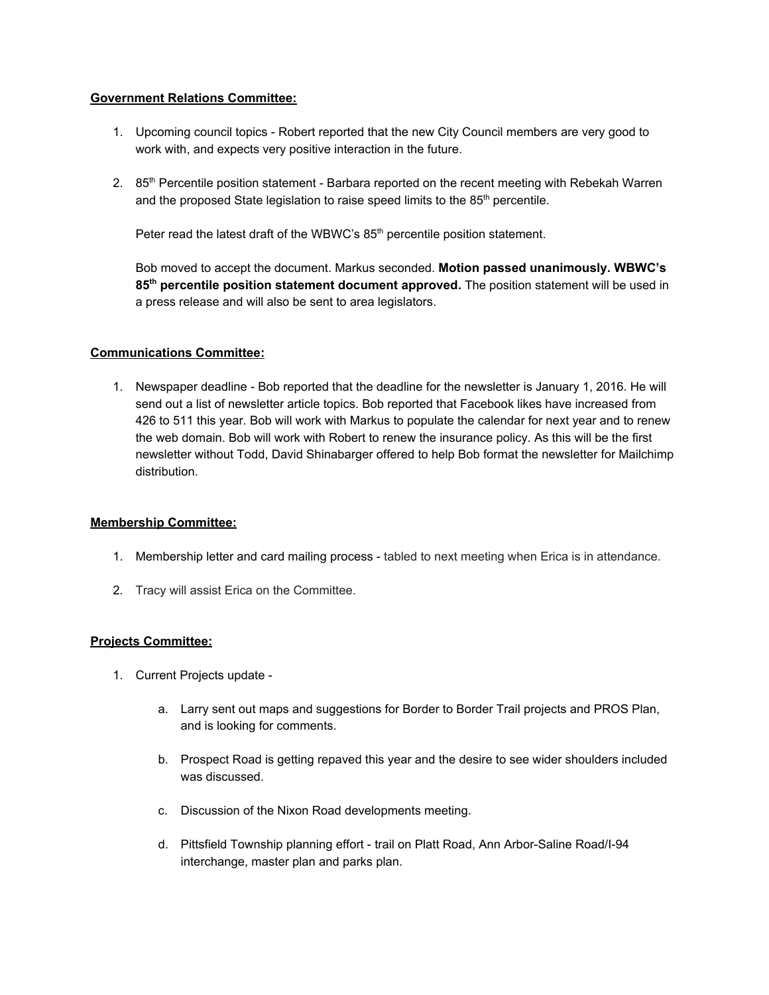## **Government Relations Committee:**

- 1. Upcoming council topics Robert reported that the new City Council members are very good to work with, and expects very positive interaction in the future.
- 2. 85<sup>th</sup> Percentile position statement Barbara reported on the recent meeting with Rebekah Warren and the proposed State legislation to raise speed limits to the 85<sup>th</sup> percentile.

Peter read the latest draft of the WBWC's 85<sup>th</sup> percentile position statement.

Bob moved to accept the document. Markus seconded. **Motion passed unanimously. WBWC's 85thpercentile position statement document approved.** The position statement will be used in a press release and will also be sent to area legislators.

## **Communications Committee:**

1. Newspaper deadline - Bob reported that the deadline for the newsletter is January 1, 2016. He will send out a list of newsletter article topics. Bob reported that Facebook likes have increased from 426 to 511 this year. Bob will work with Markus to populate the calendar for next year and to renew the web domain. Bob will work with Robert to renew the insurance policy. As this will be the first newsletter without Todd, David Shinabarger offered to help Bob format the newsletter for Mailchimp distribution.

#### **Membership Committee:**

- 1. Membership letter and card mailing process tabled to next meeting when Erica is in attendance.
- 2. Tracy will assist Erica on the Committee.

## **Projects Committee:**

- 1. Current Projects update
	- a. Larry sent out maps and suggestions for Border to Border Trail projects and PROS Plan, and is looking for comments.
	- b. Prospect Road is getting repaved this year and the desire to see wider shoulders included was discussed.
	- c. Discussion of the Nixon Road developments meeting.
	- d. Pittsfield Township planning effort trail on Platt Road, Ann Arbor-Saline Road/I-94 interchange, master plan and parks plan.